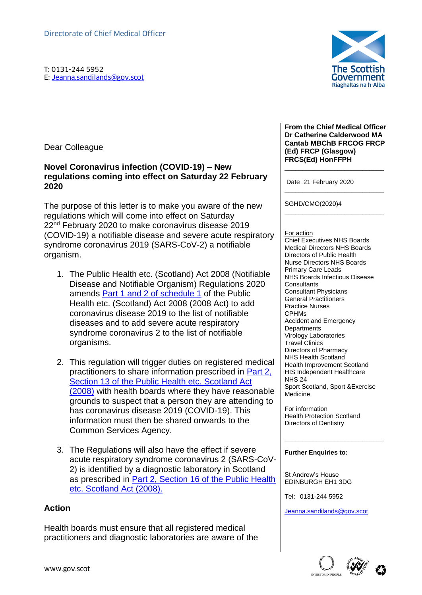T: 0131-244 5952 Directorate of Chief Medical Officer<br>
T: 0131-244 5952<br>
E: <u>Jeanna.sandilands@gov.scot</u><br>
F

Dear Colleague

### **Novel Coronavirus infection (COVID-19) – New regulations coming into effect on Saturday 22 February 2020**

The purpose of this letter is to make you aware of the new regulations which will come into effect on Saturday 22<sup>nd</sup> February 2020 to make coronavirus disease 2019 (COVID-19) a notifiable disease and severe acute respiratory syndrome coronavirus 2019 (SARS-CoV-2) a notifiable organism.

- 1. The Public Health etc. (Scotland) Act 2008 (Notifiable Disease and Notifiable Organism) Regulations 2020 amends [Part 1 and 2 of schedule 1](https://www.legislation.gov.uk/asp/2008/5/schedule/1) of the Public Health etc. (Scotland) Act 2008 (2008 Act) to add coronavirus disease 2019 to the list of notifiable diseases and to add severe acute respiratory syndrome coronavirus 2 to the list of notifiable organisms.
- 2. This regulation will trigger duties on registered medical practitioners to share information prescribed in [Part 2,](https://www.legislation.gov.uk/asp/2008/5/section/13)  Section 13 of the Public Health etc. Scotland Act [\(2008\)](https://www.legislation.gov.uk/asp/2008/5/section/13) with health boards where they have reasonable grounds to suspect that a person they are attending to has coronavirus disease 2019 (COVID-19). This information must then be shared onwards to the Common Services Agency.
- 3. The Regulations will also have the effect if severe acute respiratory syndrome coronavirus 2 (SARS-CoV-2) is identified by a diagnostic laboratory in Scotland as prescribed in [Part 2, Section 16 of the Public Health](https://www.legislation.gov.uk/asp/2008/5/section/16)  [etc. Scotland Act \(2008\).](https://www.legislation.gov.uk/asp/2008/5/section/16)

# **Action**

Health boards must ensure that all registered medical practitioners and diagnostic laboratories are aware of the



**From the Chief Medical Officer Dr Catherine Calderwood MA Cantab MBChB FRCOG FRCP (Ed) FRCP (Glasgow) FRCS(Ed) HonFFPH**

\_\_\_\_\_\_\_\_\_\_\_\_\_\_\_\_\_\_\_\_\_\_\_\_\_\_\_\_

\_\_\_\_\_\_\_\_\_\_\_\_\_\_\_\_\_\_\_\_\_\_\_\_\_\_\_\_

\_\_\_\_\_\_\_\_\_\_\_\_\_\_\_\_\_\_\_\_\_\_\_\_\_\_\_\_

Date 21 February 2020

SGHD/CMO(2020)4

#### For action

Chief Executives NHS Boards Medical Directors NHS Boards Directors of Public Health Nurse Directors NHS Boards Primary Care Leads NHS Boards Infectious Disease **Consultants** Consultant Physicians General Practitioners Practice Nurses CPHMs Accident and Emergency **Departments** Virology Laboratories Travel Clinics Directors of Pharmacy NHS Health Scotland Health Improvement Scotland HIS Independent Healthcare NHS 24 Sport Scotland, Sport &Exercise Medicine

For information Health Protection Scotland Directors of Dentistry

\_\_\_\_\_\_\_\_\_\_\_\_\_\_\_\_\_\_\_\_\_\_\_\_\_\_\_\_

### **Further Enquiries to:**

St Andrew's House EDINBURGH EH1 3DG

Tel: 0131-244 5952

[Jeanna.sandilands@gov.scot](mailto:Jeanna.sandilands@gov.scot)